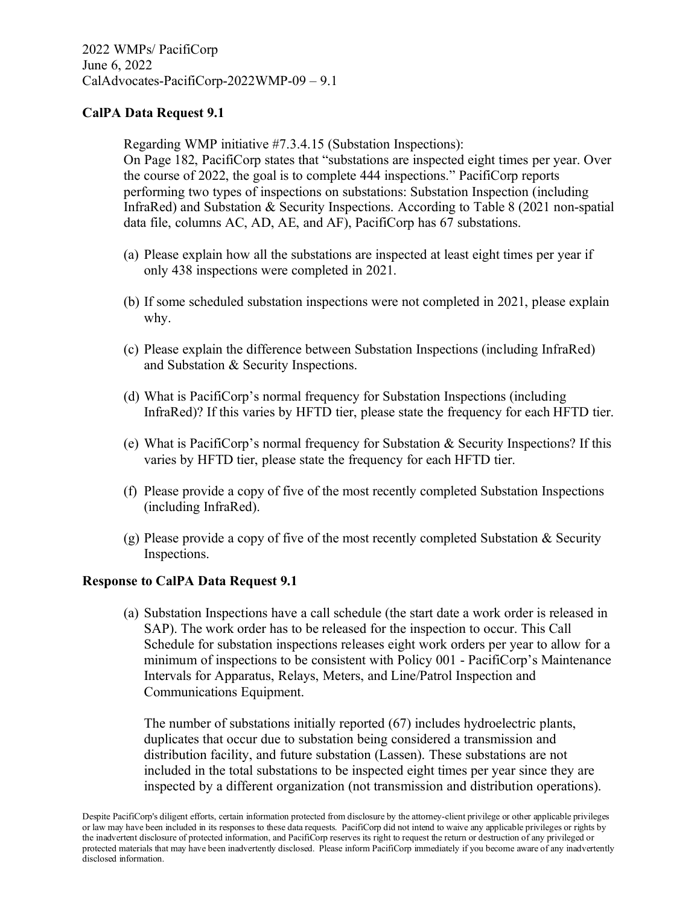Regarding WMP initiative #7.3.4.15 (Substation Inspections): On Page 182, PacifiCorp states that "substations are inspected eight times per year. Over the course of 2022, the goal is to complete 444 inspections." PacifiCorp reports performing two types of inspections on substations: Substation Inspection (including InfraRed) and Substation & Security Inspections. According to Table 8 (2021 non-spatial data file, columns AC, AD, AE, and AF), PacifiCorp has 67 substations.

- (a) Please explain how all the substations are inspected at least eight times per year if only 438 inspections were completed in 2021.
- (b) If some scheduled substation inspections were not completed in 2021, please explain why.
- (c) Please explain the difference between Substation Inspections (including InfraRed) and Substation & Security Inspections.
- (d) What is PacifiCorp's normal frequency for Substation Inspections (including InfraRed)? If this varies by HFTD tier, please state the frequency for each HFTD tier.
- (e) What is PacifiCorp's normal frequency for Substation & Security Inspections? If this varies by HFTD tier, please state the frequency for each HFTD tier.
- (f) Please provide a copy of five of the most recently completed Substation Inspections (including InfraRed).
- (g) Please provide a copy of five of the most recently completed Substation & Security Inspections.

#### **Response to CalPA Data Request 9.1**

(a) Substation Inspections have a call schedule (the start date a work order is released in SAP). The work order has to be released for the inspection to occur. This Call Schedule for substation inspections releases eight work orders per year to allow for a minimum of inspections to be consistent with Policy 001 - PacifiCorp's Maintenance Intervals for Apparatus, Relays, Meters, and Line/Patrol Inspection and Communications Equipment.

The number of substations initially reported (67) includes hydroelectric plants, duplicates that occur due to substation being considered a transmission and distribution facility, and future substation (Lassen). These substations are not included in the total substations to be inspected eight times per year since they are inspected by a different organization (not transmission and distribution operations).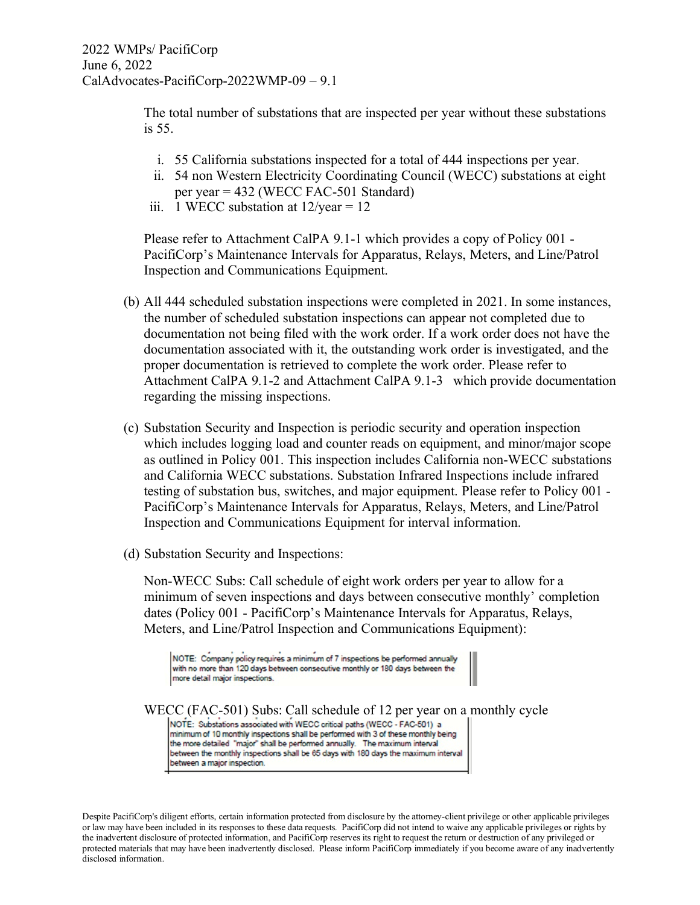The total number of substations that are inspected per year without these substations is 55.

- i. 55 California substations inspected for a total of 444 inspections per year.
- ii. 54 non Western Electricity Coordinating Council (WECC) substations at eight per year = 432 (WECC FAC-501 Standard)
- iii. 1 WECC substation at  $12$ /year = 12

Please refer to Attachment CalPA 9.1-1 which provides a copy of Policy 001 - PacifiCorp's Maintenance Intervals for Apparatus, Relays, Meters, and Line/Patrol Inspection and Communications Equipment.

- (b) All 444 scheduled substation inspections were completed in 2021. In some instances, the number of scheduled substation inspections can appear not completed due to documentation not being filed with the work order. If a work order does not have the documentation associated with it, the outstanding work order is investigated, and the proper documentation is retrieved to complete the work order. Please refer to Attachment CalPA 9.1-2 and Attachment CalPA 9.1-3 which provide documentation regarding the missing inspections.
- (c) Substation Security and Inspection is periodic security and operation inspection which includes logging load and counter reads on equipment, and minor/major scope as outlined in Policy 001. This inspection includes California non-WECC substations and California WECC substations. Substation Infrared Inspections include infrared testing of substation bus, switches, and major equipment. Please refer to Policy 001 - PacifiCorp's Maintenance Intervals for Apparatus, Relays, Meters, and Line/Patrol Inspection and Communications Equipment for interval information.
- (d) Substation Security and Inspections:

Non-WECC Subs: Call schedule of eight work orders per year to allow for a minimum of seven inspections and days between consecutive monthly' completion dates (Policy 001 - PacifiCorp's Maintenance Intervals for Apparatus, Relays, Meters, and Line/Patrol Inspection and Communications Equipment):

NOTE: Company policy requires a minimum of 7 inspections be performed annually with no more than 120 days between consecutive monthly or 180 days between the more detail major inspections.

WECC (FAC-501) Subs: Call schedule of 12 per year on a monthly cycle  $|$ NOTE: Substations associated with WECC critical paths (WECC - FAC-501) a minimum of 10 monthly inspections shall be performed with 3 of these monthly being the more detailed "major" shall be performed annually. The maximum interval between the monthly inspections shall be 65 days with 180 days the maximum interval between a major inspection.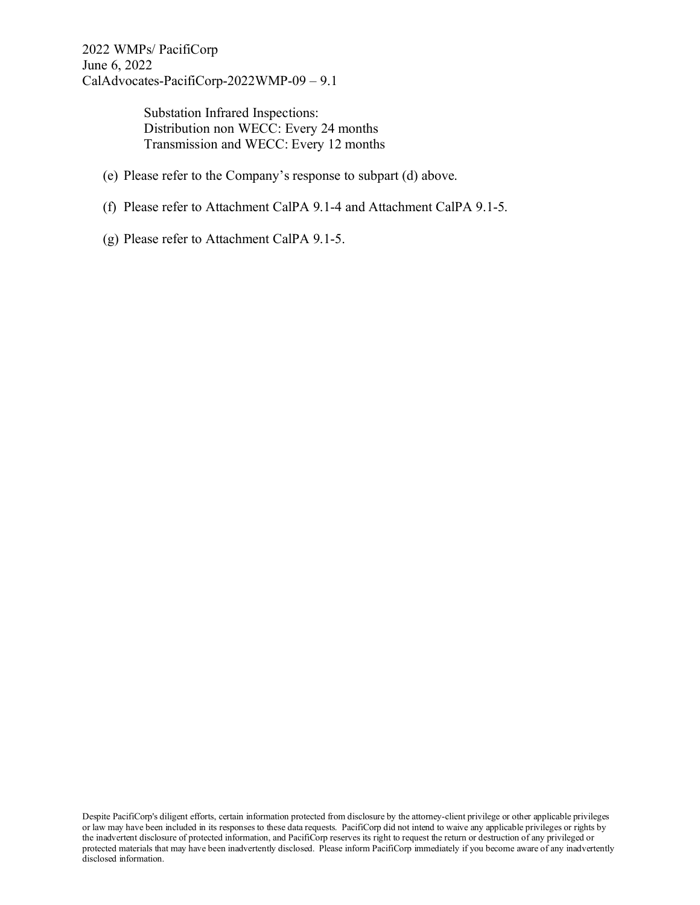> Substation Infrared Inspections: Distribution non WECC: Every 24 months Transmission and WECC: Every 12 months

- (e) Please refer to the Company's response to subpart (d) above.
- (f) Please refer to Attachment CalPA 9.1-4 and Attachment CalPA 9.1-5.
- (g) Please refer to Attachment CalPA 9.1-5.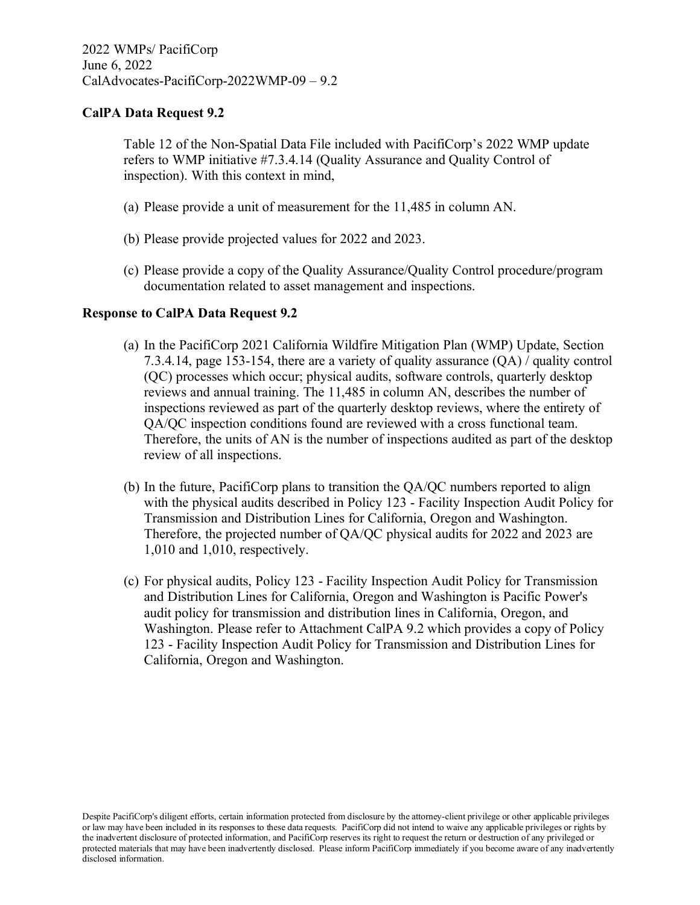Table 12 of the Non-Spatial Data File included with PacifiCorp's 2022 WMP update refers to WMP initiative #7.3.4.14 (Quality Assurance and Quality Control of inspection). With this context in mind,

- (a) Please provide a unit of measurement for the 11,485 in column AN.
- (b) Please provide projected values for 2022 and 2023.
- (c) Please provide a copy of the Quality Assurance/Quality Control procedure/program documentation related to asset management and inspections.

#### **Response to CalPA Data Request 9.2**

- (a) In the PacifiCorp 2021 California Wildfire Mitigation Plan (WMP) Update, Section 7.3.4.14, page 153-154, there are a variety of quality assurance (QA) / quality control (QC) processes which occur; physical audits, software controls, quarterly desktop reviews and annual training. The 11,485 in column AN, describes the number of inspections reviewed as part of the quarterly desktop reviews, where the entirety of QA/QC inspection conditions found are reviewed with a cross functional team. Therefore, the units of AN is the number of inspections audited as part of the desktop review of all inspections.
- (b) In the future, PacifiCorp plans to transition the QA/QC numbers reported to align with the physical audits described in Policy 123 - Facility Inspection Audit Policy for Transmission and Distribution Lines for California, Oregon and Washington. Therefore, the projected number of QA/QC physical audits for 2022 and 2023 are 1,010 and 1,010, respectively.
- (c) For physical audits, Policy 123 Facility Inspection Audit Policy for Transmission and Distribution Lines for California, Oregon and Washington is Pacific Power's audit policy for transmission and distribution lines in California, Oregon, and Washington. Please refer to Attachment CalPA 9.2 which provides a copy of Policy 123 - Facility Inspection Audit Policy for Transmission and Distribution Lines for California, Oregon and Washington.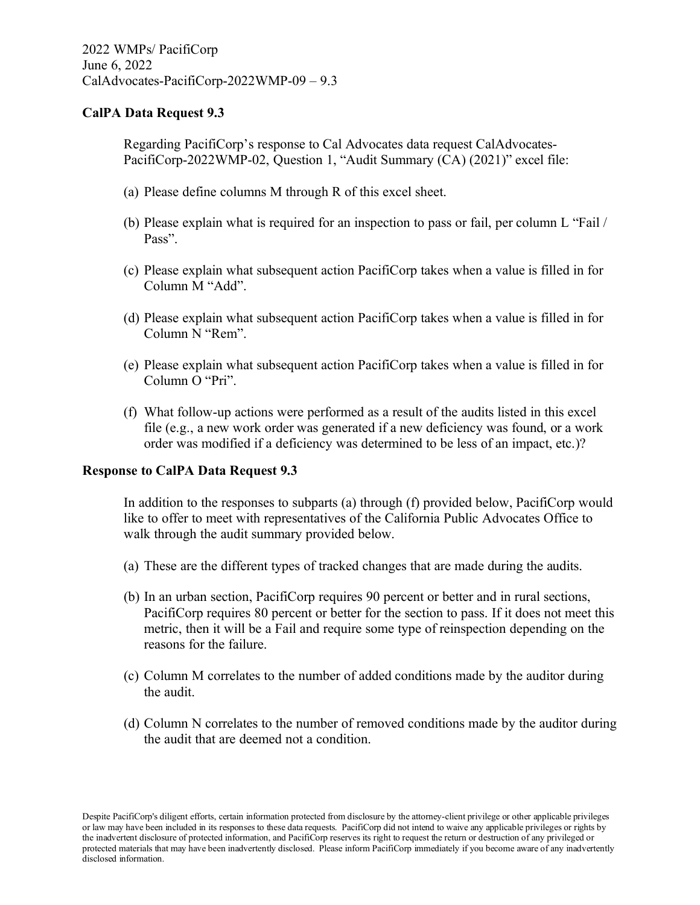Regarding PacifiCorp's response to Cal Advocates data request CalAdvocates-PacifiCorp-2022WMP-02, Question 1, "Audit Summary (CA) (2021)" excel file:

- (a) Please define columns M through R of this excel sheet.
- (b) Please explain what is required for an inspection to pass or fail, per column L "Fail / Pass".
- (c) Please explain what subsequent action PacifiCorp takes when a value is filled in for Column M "Add".
- (d) Please explain what subsequent action PacifiCorp takes when a value is filled in for Column N "Rem".
- (e) Please explain what subsequent action PacifiCorp takes when a value is filled in for Column O "Pri".
- (f) What follow-up actions were performed as a result of the audits listed in this excel file (e.g., a new work order was generated if a new deficiency was found, or a work order was modified if a deficiency was determined to be less of an impact, etc.)?

#### **Response to CalPA Data Request 9.3**

In addition to the responses to subparts (a) through (f) provided below, PacifiCorp would like to offer to meet with representatives of the California Public Advocates Office to walk through the audit summary provided below.

- (a) These are the different types of tracked changes that are made during the audits.
- (b) In an urban section, PacifiCorp requires 90 percent or better and in rural sections, PacifiCorp requires 80 percent or better for the section to pass. If it does not meet this metric, then it will be a Fail and require some type of reinspection depending on the reasons for the failure.
- (c) Column M correlates to the number of added conditions made by the auditor during the audit.
- (d) Column N correlates to the number of removed conditions made by the auditor during the audit that are deemed not a condition.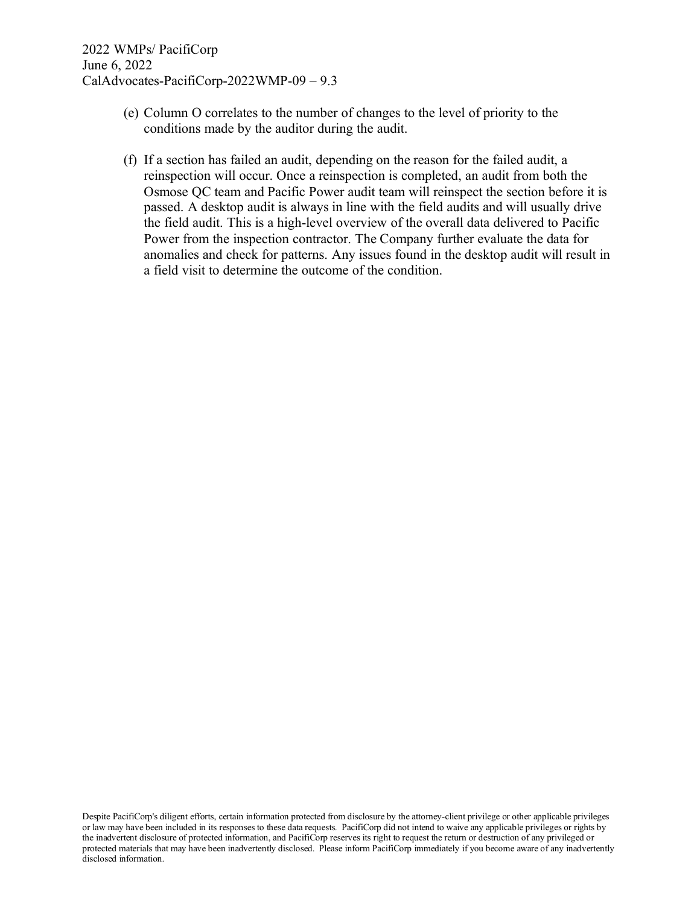- (e) Column O correlates to the number of changes to the level of priority to the conditions made by the auditor during the audit.
- (f) If a section has failed an audit, depending on the reason for the failed audit, a reinspection will occur. Once a reinspection is completed, an audit from both the Osmose QC team and Pacific Power audit team will reinspect the section before it is passed. A desktop audit is always in line with the field audits and will usually drive the field audit. This is a high-level overview of the overall data delivered to Pacific Power from the inspection contractor. The Company further evaluate the data for anomalies and check for patterns. Any issues found in the desktop audit will result in a field visit to determine the outcome of the condition.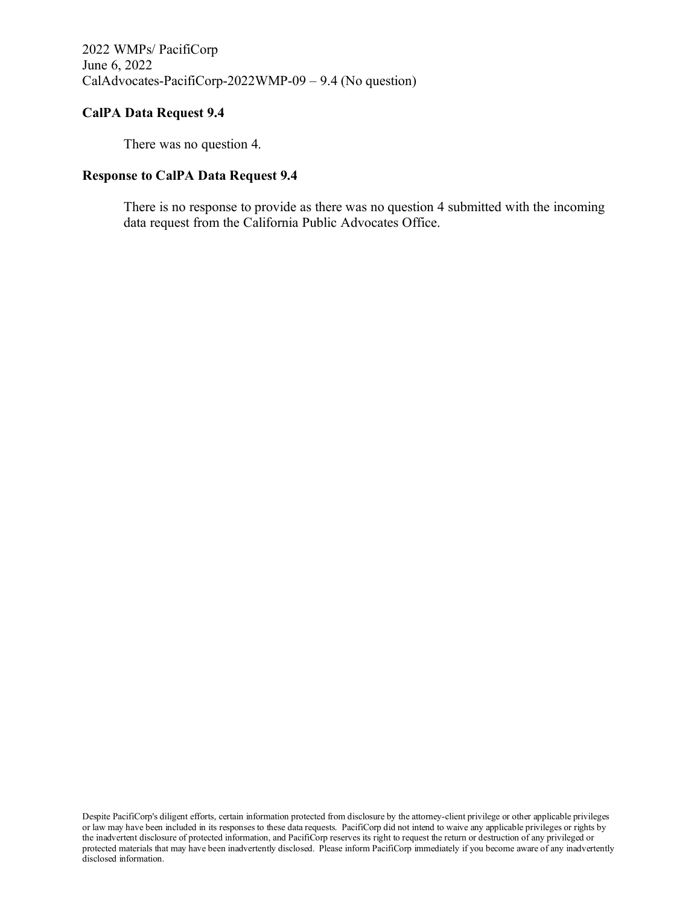There was no question 4.

#### **Response to CalPA Data Request 9.4**

There is no response to provide as there was no question 4 submitted with the incoming data request from the California Public Advocates Office.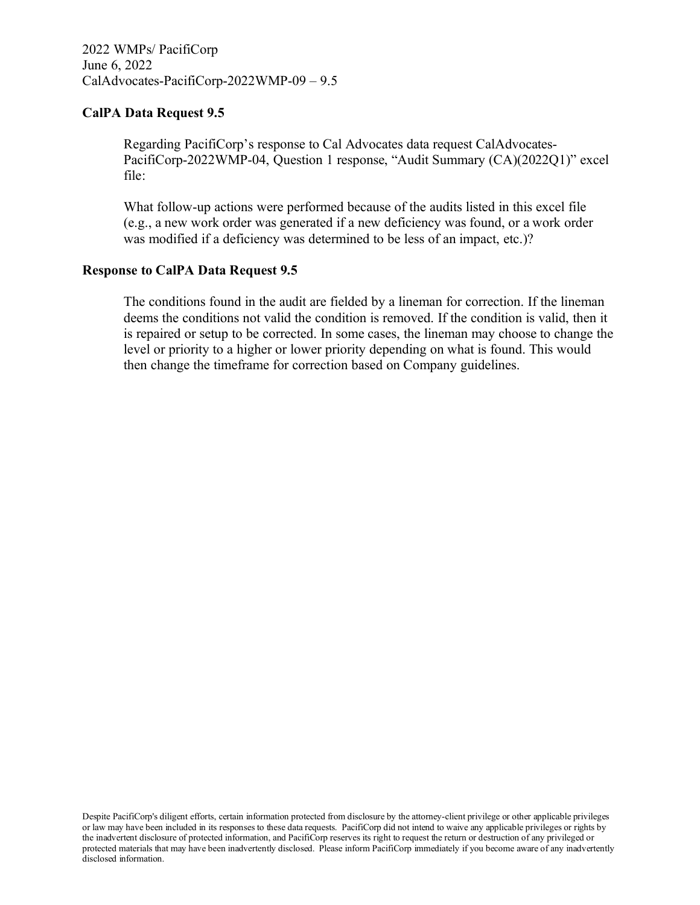### **CalPA Data Request 9.5**

Regarding PacifiCorp's response to Cal Advocates data request CalAdvocates-PacifiCorp-2022WMP-04, Question 1 response, "Audit Summary (CA)(2022Q1)" excel file:

What follow-up actions were performed because of the audits listed in this excel file (e.g., a new work order was generated if a new deficiency was found, or a work order was modified if a deficiency was determined to be less of an impact, etc.)?

#### **Response to CalPA Data Request 9.5**

The conditions found in the audit are fielded by a lineman for correction. If the lineman deems the conditions not valid the condition is removed. If the condition is valid, then it is repaired or setup to be corrected. In some cases, the lineman may choose to change the level or priority to a higher or lower priority depending on what is found. This would then change the timeframe for correction based on Company guidelines.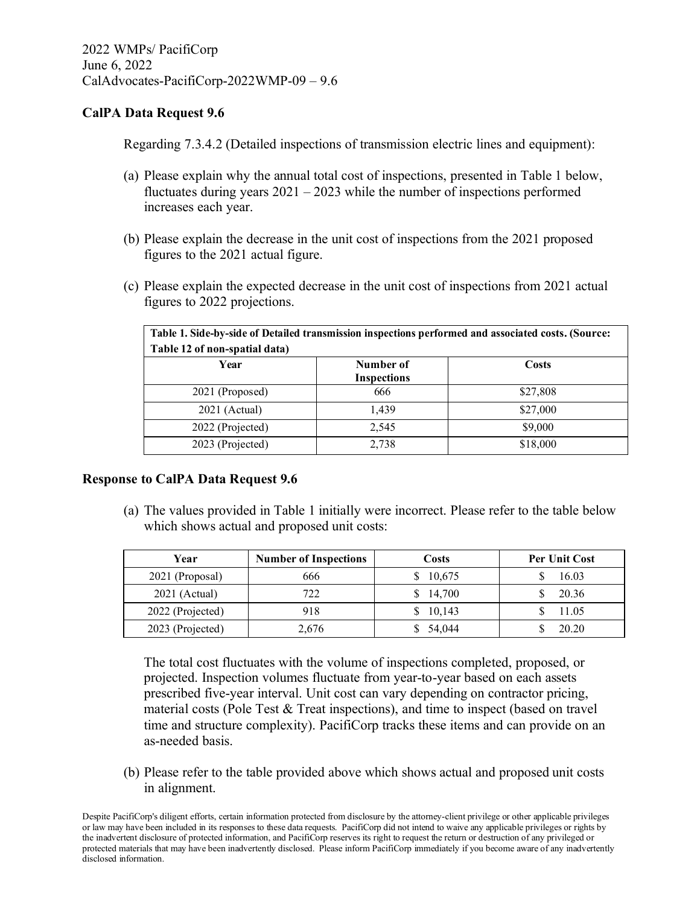Regarding 7.3.4.2 (Detailed inspections of transmission electric lines and equipment):

- (a) Please explain why the annual total cost of inspections, presented in Table 1 below, fluctuates during years  $2021 - 2023$  while the number of inspections performed increases each year.
- (b) Please explain the decrease in the unit cost of inspections from the 2021 proposed figures to the 2021 actual figure.
- (c) Please explain the expected decrease in the unit cost of inspections from 2021 actual figures to 2022 projections.

| Table 1. Side-by-side of Detailed transmission inspections performed and associated costs. (Source: |                                 |          |  |  |
|-----------------------------------------------------------------------------------------------------|---------------------------------|----------|--|--|
| Table 12 of non-spatial data)<br>Year                                                               | Number of<br><b>Inspections</b> | Costs    |  |  |
| 2021 (Proposed)                                                                                     | 666                             | \$27,808 |  |  |
| $2021$ (Actual)                                                                                     | 1,439                           | \$27,000 |  |  |
| 2022 (Projected)                                                                                    | 2,545                           | \$9,000  |  |  |
| 2023 (Projected)                                                                                    | 2,738                           | \$18,000 |  |  |

#### **Response to CalPA Data Request 9.6**

(a) The values provided in Table 1 initially were incorrect. Please refer to the table below which shows actual and proposed unit costs:

| Year             | <b>Number of Inspections</b> | Costs     | <b>Per Unit Cost</b> |
|------------------|------------------------------|-----------|----------------------|
| 2021 (Proposal)  | 666                          | \$ 10,675 | 16.03                |
| $2021$ (Actual)  | 722                          | \$14,700  | 20.36                |
| 2022 (Projected) | 918                          | \$10,143  | 11.05                |
| 2023 (Projected) | 2,676                        | \$54,044  | 20.20                |

The total cost fluctuates with the volume of inspections completed, proposed, or projected. Inspection volumes fluctuate from year-to-year based on each assets prescribed five-year interval. Unit cost can vary depending on contractor pricing, material costs (Pole Test & Treat inspections), and time to inspect (based on travel time and structure complexity). PacifiCorp tracks these items and can provide on an as-needed basis.

(b) Please refer to the table provided above which shows actual and proposed unit costs in alignment.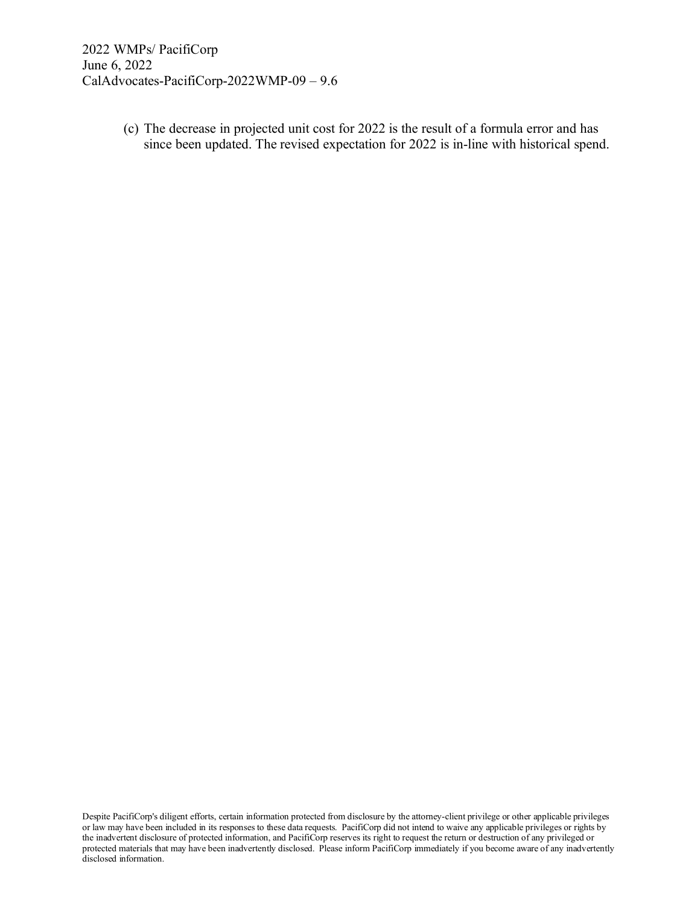(c) The decrease in projected unit cost for 2022 is the result of a formula error and has since been updated. The revised expectation for 2022 is in-line with historical spend.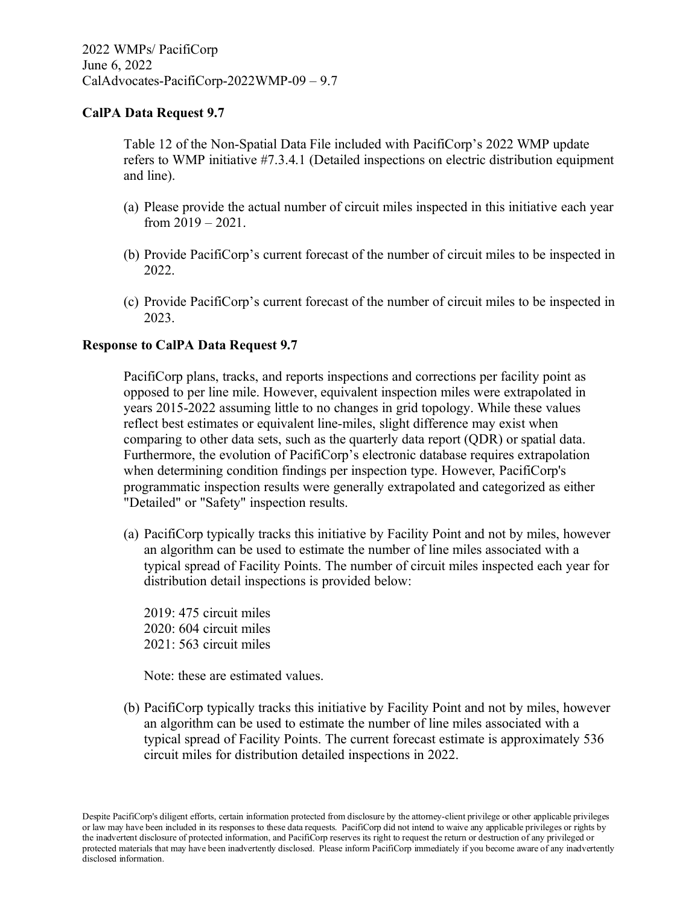Table 12 of the Non-Spatial Data File included with PacifiCorp's 2022 WMP update refers to WMP initiative #7.3.4.1 (Detailed inspections on electric distribution equipment and line).

- (a) Please provide the actual number of circuit miles inspected in this initiative each year from 2019 – 2021.
- (b) Provide PacifiCorp's current forecast of the number of circuit miles to be inspected in 2022.
- (c) Provide PacifiCorp's current forecast of the number of circuit miles to be inspected in 2023.

# **Response to CalPA Data Request 9.7**

PacifiCorp plans, tracks, and reports inspections and corrections per facility point as opposed to per line mile. However, equivalent inspection miles were extrapolated in years 2015-2022 assuming little to no changes in grid topology. While these values reflect best estimates or equivalent line-miles, slight difference may exist when comparing to other data sets, such as the quarterly data report (QDR) or spatial data. Furthermore, the evolution of PacifiCorp's electronic database requires extrapolation when determining condition findings per inspection type. However, PacifiCorp's programmatic inspection results were generally extrapolated and categorized as either "Detailed" or "Safety" inspection results.

(a) PacifiCorp typically tracks this initiative by Facility Point and not by miles, however an algorithm can be used to estimate the number of line miles associated with a typical spread of Facility Points. The number of circuit miles inspected each year for distribution detail inspections is provided below:

2019: 475 circuit miles 2020: 604 circuit miles 2021: 563 circuit miles

Note: these are estimated values.

(b) PacifiCorp typically tracks this initiative by Facility Point and not by miles, however an algorithm can be used to estimate the number of line miles associated with a typical spread of Facility Points. The current forecast estimate is approximately 536 circuit miles for distribution detailed inspections in 2022.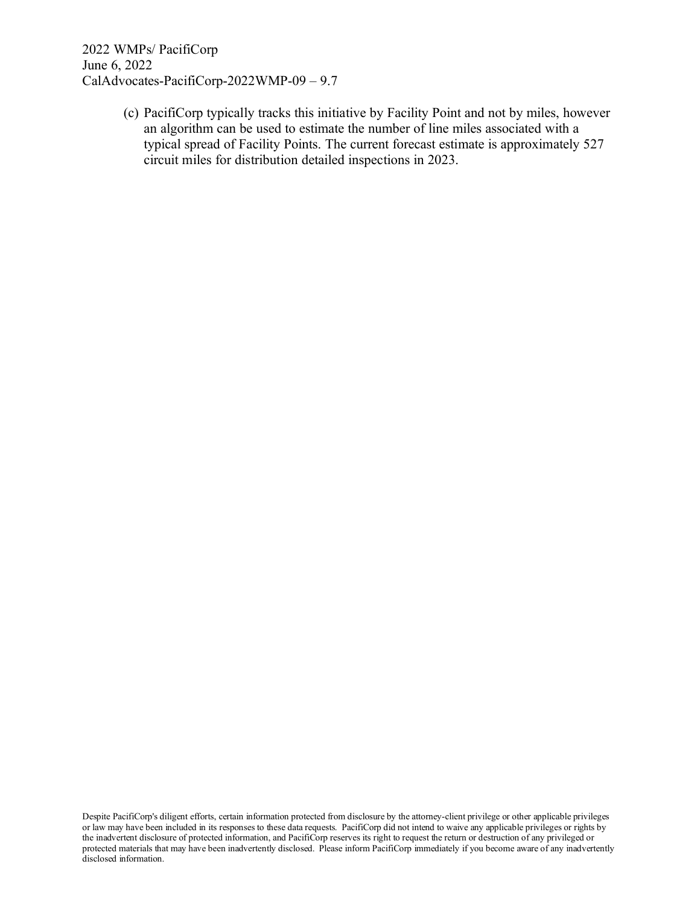> (c) PacifiCorp typically tracks this initiative by Facility Point and not by miles, however an algorithm can be used to estimate the number of line miles associated with a typical spread of Facility Points. The current forecast estimate is approximately 527 circuit miles for distribution detailed inspections in 2023.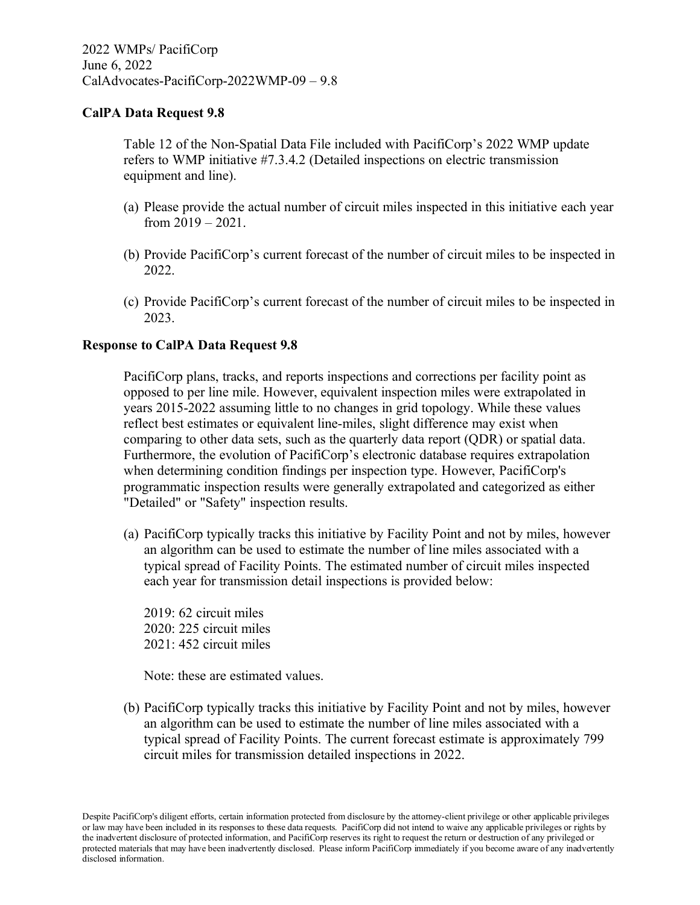Table 12 of the Non-Spatial Data File included with PacifiCorp's 2022 WMP update refers to WMP initiative #7.3.4.2 (Detailed inspections on electric transmission equipment and line).

- (a) Please provide the actual number of circuit miles inspected in this initiative each year from 2019 – 2021.
- (b) Provide PacifiCorp's current forecast of the number of circuit miles to be inspected in 2022.
- (c) Provide PacifiCorp's current forecast of the number of circuit miles to be inspected in 2023.

#### **Response to CalPA Data Request 9.8**

PacifiCorp plans, tracks, and reports inspections and corrections per facility point as opposed to per line mile. However, equivalent inspection miles were extrapolated in years 2015-2022 assuming little to no changes in grid topology. While these values reflect best estimates or equivalent line-miles, slight difference may exist when comparing to other data sets, such as the quarterly data report (QDR) or spatial data. Furthermore, the evolution of PacifiCorp's electronic database requires extrapolation when determining condition findings per inspection type. However, PacifiCorp's programmatic inspection results were generally extrapolated and categorized as either "Detailed" or "Safety" inspection results.

(a) PacifiCorp typically tracks this initiative by Facility Point and not by miles, however an algorithm can be used to estimate the number of line miles associated with a typical spread of Facility Points. The estimated number of circuit miles inspected each year for transmission detail inspections is provided below:

2019: 62 circuit miles 2020: 225 circuit miles 2021: 452 circuit miles

Note: these are estimated values.

(b) PacifiCorp typically tracks this initiative by Facility Point and not by miles, however an algorithm can be used to estimate the number of line miles associated with a typical spread of Facility Points. The current forecast estimate is approximately 799 circuit miles for transmission detailed inspections in 2022.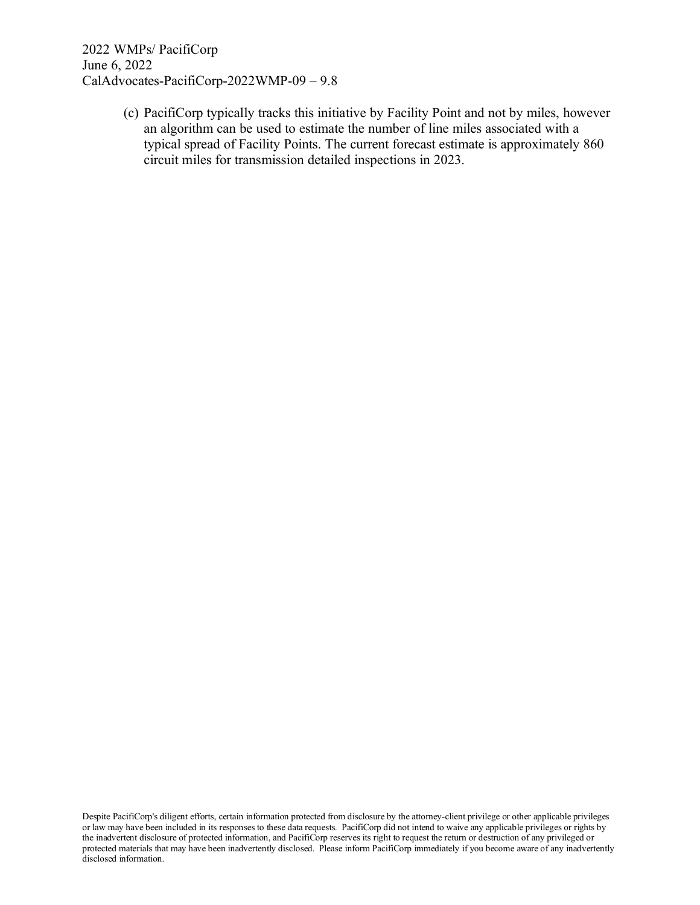> (c) PacifiCorp typically tracks this initiative by Facility Point and not by miles, however an algorithm can be used to estimate the number of line miles associated with a typical spread of Facility Points. The current forecast estimate is approximately 860 circuit miles for transmission detailed inspections in 2023.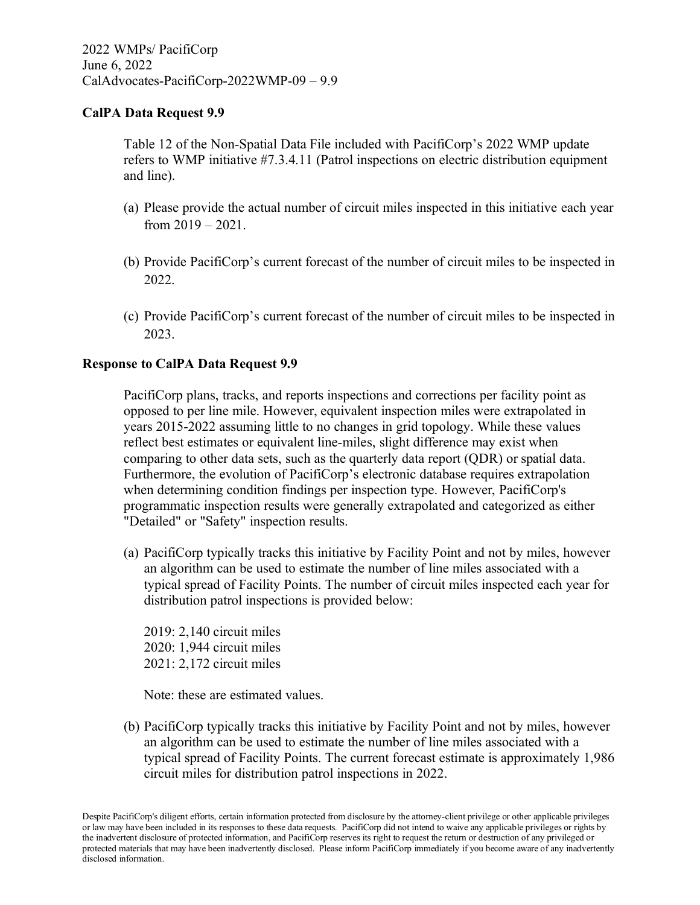Table 12 of the Non-Spatial Data File included with PacifiCorp's 2022 WMP update refers to WMP initiative #7.3.4.11 (Patrol inspections on electric distribution equipment and line).

- (a) Please provide the actual number of circuit miles inspected in this initiative each year from 2019 – 2021.
- (b) Provide PacifiCorp's current forecast of the number of circuit miles to be inspected in 2022.
- (c) Provide PacifiCorp's current forecast of the number of circuit miles to be inspected in 2023.

# **Response to CalPA Data Request 9.9**

PacifiCorp plans, tracks, and reports inspections and corrections per facility point as opposed to per line mile. However, equivalent inspection miles were extrapolated in years 2015-2022 assuming little to no changes in grid topology. While these values reflect best estimates or equivalent line-miles, slight difference may exist when comparing to other data sets, such as the quarterly data report (QDR) or spatial data. Furthermore, the evolution of PacifiCorp's electronic database requires extrapolation when determining condition findings per inspection type. However, PacifiCorp's programmatic inspection results were generally extrapolated and categorized as either "Detailed" or "Safety" inspection results.

(a) PacifiCorp typically tracks this initiative by Facility Point and not by miles, however an algorithm can be used to estimate the number of line miles associated with a typical spread of Facility Points. The number of circuit miles inspected each year for distribution patrol inspections is provided below:

2019: 2,140 circuit miles 2020: 1,944 circuit miles 2021: 2,172 circuit miles

Note: these are estimated values.

(b) PacifiCorp typically tracks this initiative by Facility Point and not by miles, however an algorithm can be used to estimate the number of line miles associated with a typical spread of Facility Points. The current forecast estimate is approximately 1,986 circuit miles for distribution patrol inspections in 2022.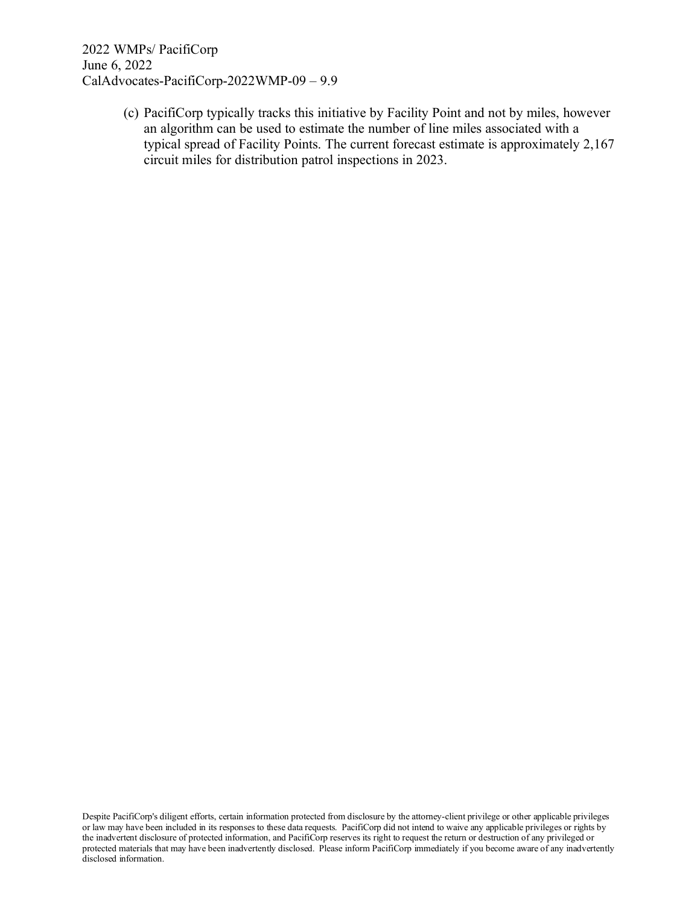> (c) PacifiCorp typically tracks this initiative by Facility Point and not by miles, however an algorithm can be used to estimate the number of line miles associated with a typical spread of Facility Points. The current forecast estimate is approximately 2,167 circuit miles for distribution patrol inspections in 2023.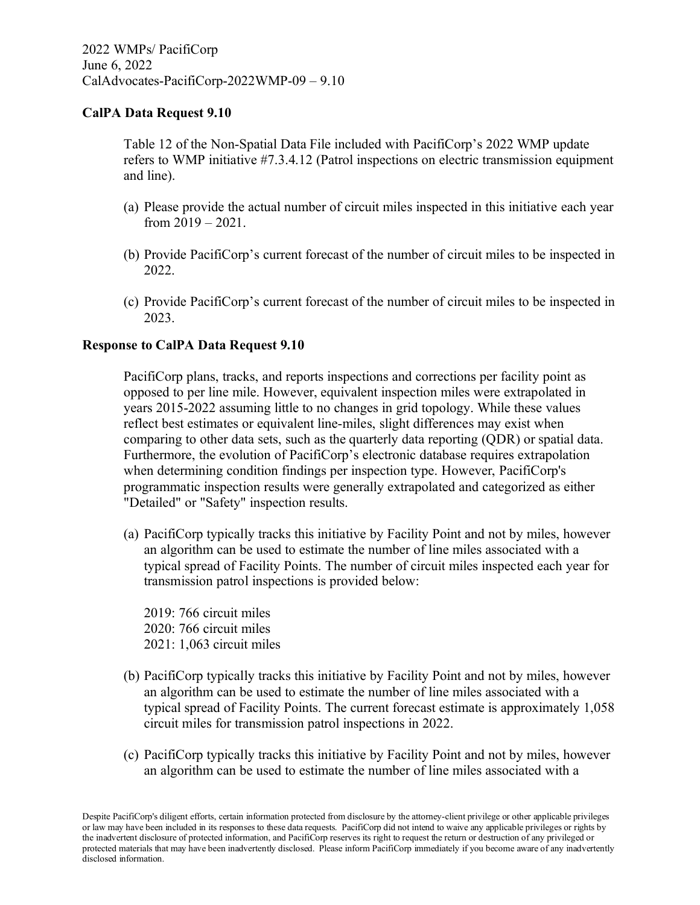Table 12 of the Non-Spatial Data File included with PacifiCorp's 2022 WMP update refers to WMP initiative #7.3.4.12 (Patrol inspections on electric transmission equipment and line).

- (a) Please provide the actual number of circuit miles inspected in this initiative each year from 2019 – 2021.
- (b) Provide PacifiCorp's current forecast of the number of circuit miles to be inspected in 2022.
- (c) Provide PacifiCorp's current forecast of the number of circuit miles to be inspected in 2023.

#### **Response to CalPA Data Request 9.10**

PacifiCorp plans, tracks, and reports inspections and corrections per facility point as opposed to per line mile. However, equivalent inspection miles were extrapolated in years 2015-2022 assuming little to no changes in grid topology. While these values reflect best estimates or equivalent line-miles, slight differences may exist when comparing to other data sets, such as the quarterly data reporting (QDR) or spatial data. Furthermore, the evolution of PacifiCorp's electronic database requires extrapolation when determining condition findings per inspection type. However, PacifiCorp's programmatic inspection results were generally extrapolated and categorized as either "Detailed" or "Safety" inspection results.

(a) PacifiCorp typically tracks this initiative by Facility Point and not by miles, however an algorithm can be used to estimate the number of line miles associated with a typical spread of Facility Points. The number of circuit miles inspected each year for transmission patrol inspections is provided below:

2019: 766 circuit miles 2020: 766 circuit miles 2021: 1,063 circuit miles

- (b) PacifiCorp typically tracks this initiative by Facility Point and not by miles, however an algorithm can be used to estimate the number of line miles associated with a typical spread of Facility Points. The current forecast estimate is approximately 1,058 circuit miles for transmission patrol inspections in 2022.
- (c) PacifiCorp typically tracks this initiative by Facility Point and not by miles, however an algorithm can be used to estimate the number of line miles associated with a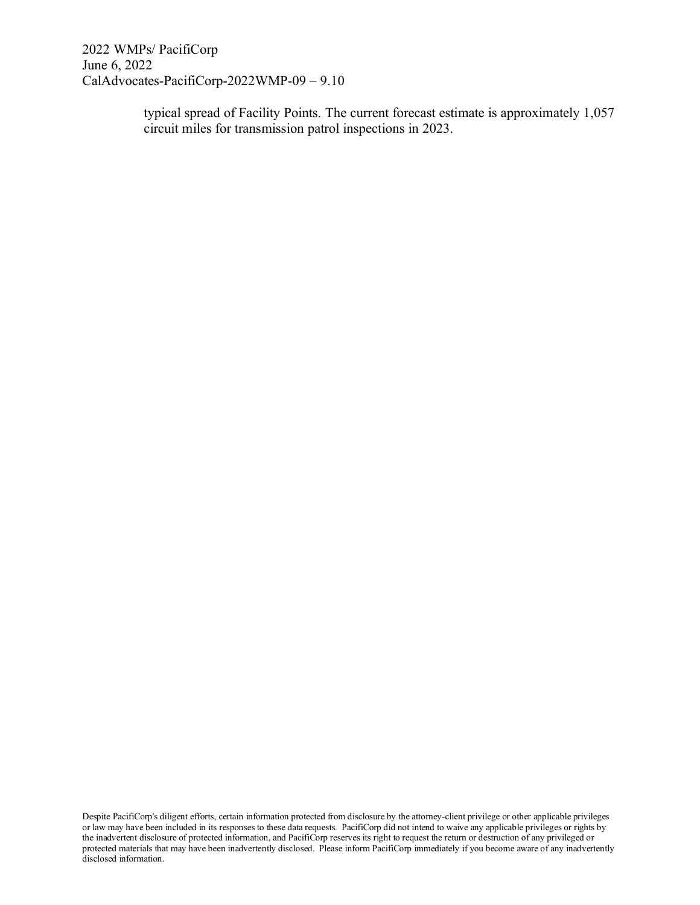> typical spread of Facility Points. The current forecast estimate is approximately 1,057 circuit miles for transmission patrol inspections in 2023.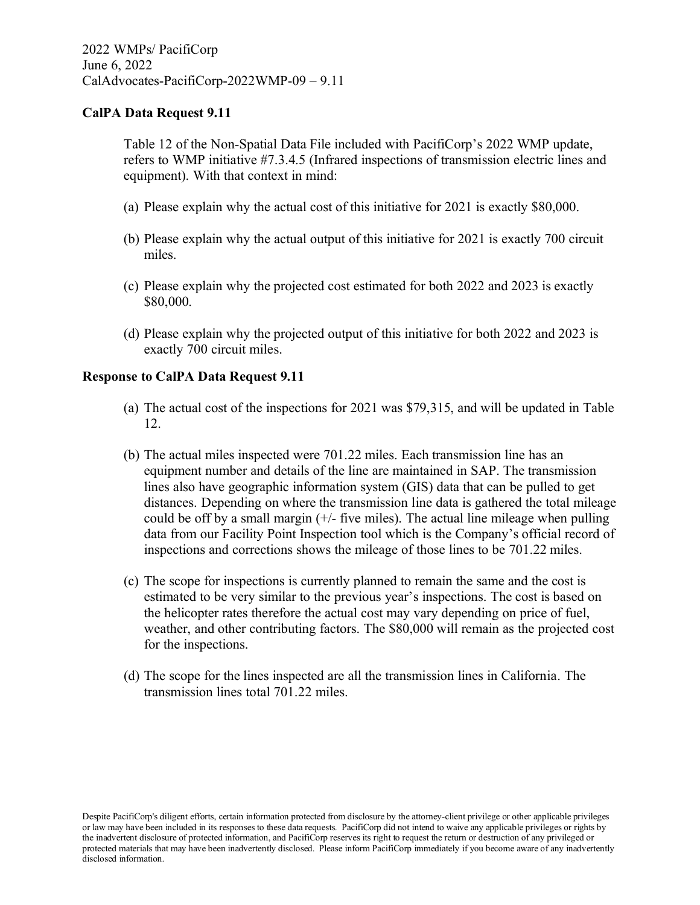Table 12 of the Non-Spatial Data File included with PacifiCorp's 2022 WMP update, refers to WMP initiative #7.3.4.5 (Infrared inspections of transmission electric lines and equipment). With that context in mind:

- (a) Please explain why the actual cost of this initiative for 2021 is exactly \$80,000.
- (b) Please explain why the actual output of this initiative for 2021 is exactly 700 circuit miles.
- (c) Please explain why the projected cost estimated for both 2022 and 2023 is exactly \$80,000.
- (d) Please explain why the projected output of this initiative for both 2022 and 2023 is exactly 700 circuit miles.

#### **Response to CalPA Data Request 9.11**

- (a) The actual cost of the inspections for 2021 was \$79,315, and will be updated in Table 12.
- (b) The actual miles inspected were 701.22 miles. Each transmission line has an equipment number and details of the line are maintained in SAP. The transmission lines also have geographic information system (GIS) data that can be pulled to get distances. Depending on where the transmission line data is gathered the total mileage could be off by a small margin  $(+)$ - five miles). The actual line mileage when pulling data from our Facility Point Inspection tool which is the Company's official record of inspections and corrections shows the mileage of those lines to be 701.22 miles.
- (c) The scope for inspections is currently planned to remain the same and the cost is estimated to be very similar to the previous year's inspections. The cost is based on the helicopter rates therefore the actual cost may vary depending on price of fuel, weather, and other contributing factors. The \$80,000 will remain as the projected cost for the inspections.
- (d) The scope for the lines inspected are all the transmission lines in California. The transmission lines total 701.22 miles.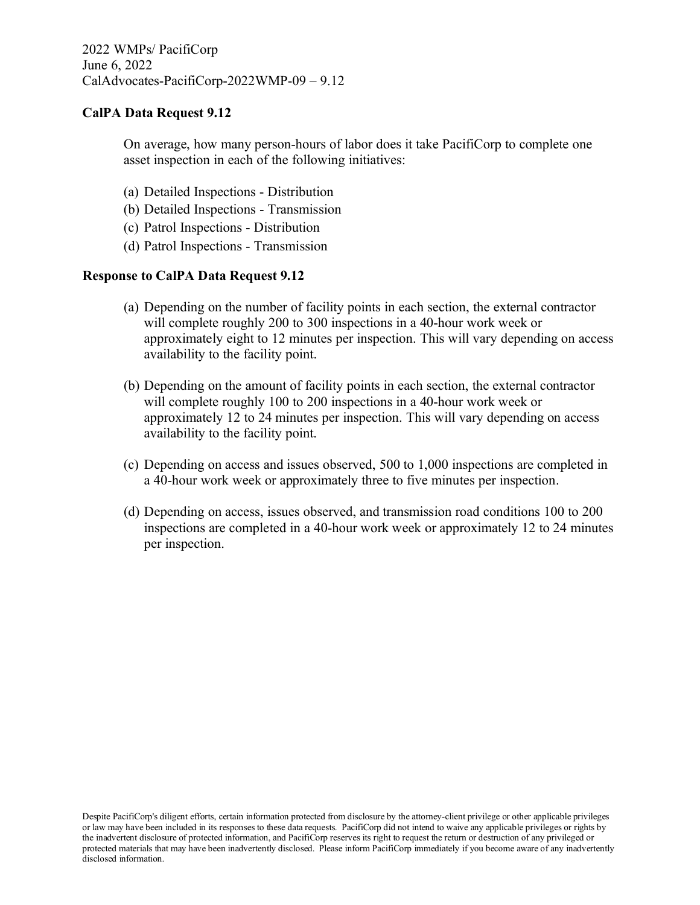On average, how many person-hours of labor does it take PacifiCorp to complete one asset inspection in each of the following initiatives:

- (a) Detailed Inspections Distribution
- (b) Detailed Inspections Transmission
- (c) Patrol Inspections Distribution
- (d) Patrol Inspections Transmission

#### **Response to CalPA Data Request 9.12**

- (a) Depending on the number of facility points in each section, the external contractor will complete roughly 200 to 300 inspections in a 40-hour work week or approximately eight to 12 minutes per inspection. This will vary depending on access availability to the facility point.
- (b) Depending on the amount of facility points in each section, the external contractor will complete roughly 100 to 200 inspections in a 40-hour work week or approximately 12 to 24 minutes per inspection. This will vary depending on access availability to the facility point.
- (c) Depending on access and issues observed, 500 to 1,000 inspections are completed in a 40-hour work week or approximately three to five minutes per inspection.
- (d) Depending on access, issues observed, and transmission road conditions 100 to 200 inspections are completed in a 40-hour work week or approximately 12 to 24 minutes per inspection.